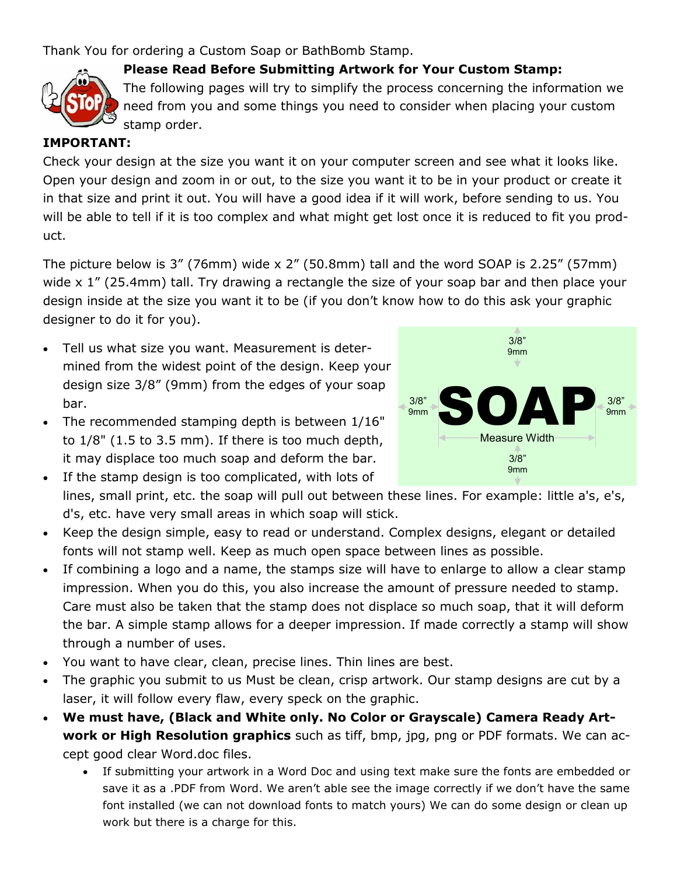Thank You for ordering a Custom Soap or BathBomb Stamp.



## **Please Read Before Submitting Artwork for Your Custom Stamp:**

The following pages will try to simplify the process concerning the information we need from you and some things you need to consider when placing your custom stamp order.

#### **IMPORTANT:**

Check your design at the size you want it on your computer screen and see what it looks like. Open your design and zoom in or out, to the size you want it to be in your product or create it in that size and print it out. You will have a good idea if it will work, before sending to us. You will be able to tell if it is too complex and what might get lost once it is reduced to fit you product.

The picture below is 3" (76mm) wide x 2" (50.8mm) tall and the word SOAP is 2.25" (57mm) wide x 1" (25.4mm) tall. Try drawing a rectangle the size of your soap bar and then place your design inside at the size you want it to be (if you don't know how to do this ask your graphic designer to do it for you).

- Tell us what size you want. Measurement is determined from the widest point of the design. Keep your design size 3/8" (9mm) from the edges of your soap bar.
- The recommended stamping depth is between 1/16" to 1/8" (1.5 to 3.5 mm). If there is too much depth, it may displace too much soap and deform the bar.
- If the stamp design is too complicated, with lots of lines, small print, etc. the soap will pull out between these lines. For example: little a's, e's, d's, etc. have very small areas in which soap will stick.
- Keep the design simple, easy to read or understand. Complex designs, elegant or detailed fonts will not stamp well. Keep as much open space between lines as possible.
- If combining a logo and a name, the stamps size will have to enlarge to allow a clear stamp impression. When you do this, you also increase the amount of pressure needed to stamp. Care must also be taken that the stamp does not displace so much soap, that it will deform the bar. A simple stamp allows for a deeper impression. If made correctly a stamp will show through a number of uses.
- You want to have clear, clean, precise lines. Thin lines are best.
- The graphic you submit to us Must be clean, crisp artwork. Our stamp designs are cut by a laser, it will follow every flaw, every speck on the graphic.
- **We must have, (Black and White only. No Color or Grayscale) Camera Ready Artwork or High Resolution graphics** such as tiff, bmp, jpg, png or PDF formats. We can accept good clear Word.doc files.
	- If submitting your artwork in a Word Doc and using text make sure the fonts are embedded or save it as a .PDF from Word. We aren't able see the image correctly if we don't have the same font installed (we can not download fonts to match yours) We can do some design or clean up work but there is a charge for this.

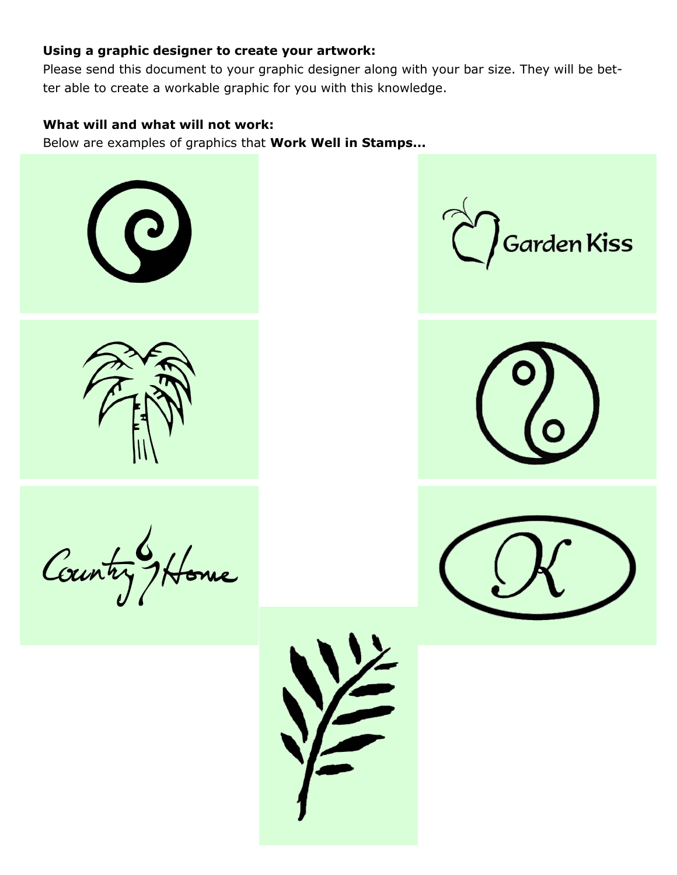### **Using a graphic designer to create your artwork:**

Please send this document to your graphic designer along with your bar size. They will be better able to create a workable graphic for you with this knowledge.

#### **What will and what will not work:**

Below are examples of graphics that **Work Well in Stamps...**



Country Home



Garden Kiss



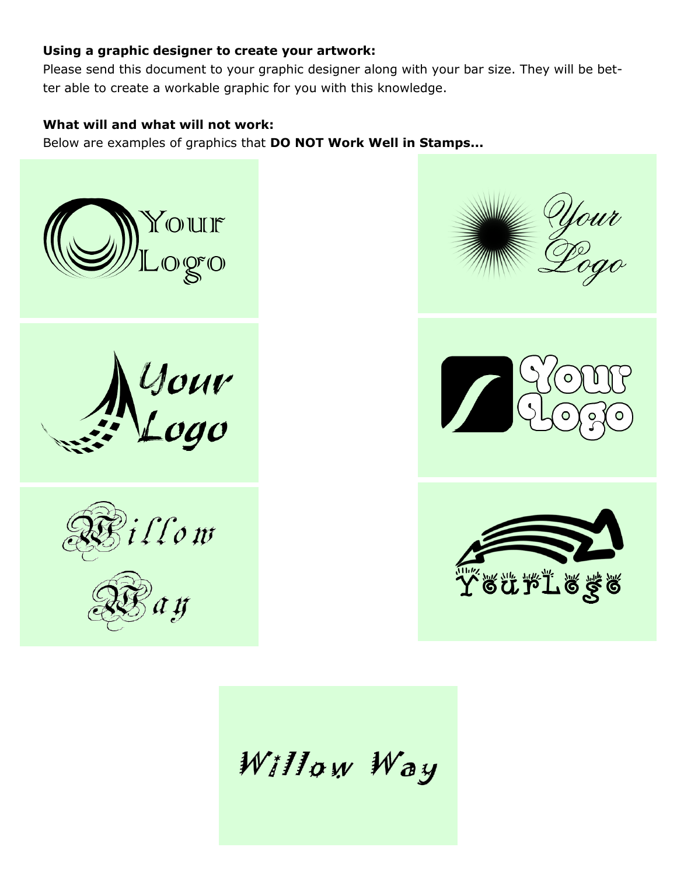## **Using a graphic designer to create your artwork:**

Please send this document to your graphic designer along with your bar size. They will be better able to create a workable graphic for you with this knowledge.

# **What will and what will not work:**

Below are examples of graphics that **DO NOT Work Well in Stamps...**



Your<br>Logo









Willow Way